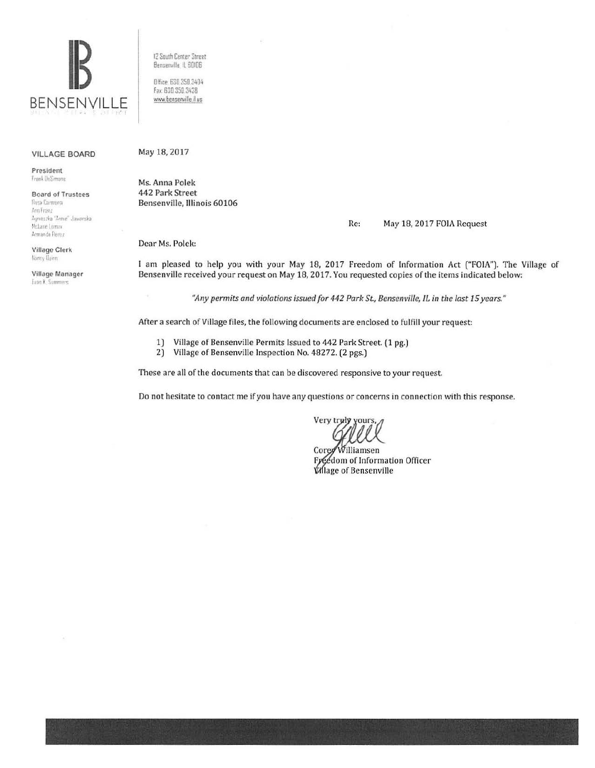

**VILLAGE BOARD** 

President Trank DeSimone

**Board of Trustees Rusa Carmona** Ann Frenz Ayneszka "Annie" Jawarska McLane Lomax Armando Perez

**Village Clerk** Nancy Duinn

Village Manager Evan K. Summers

12 South Center Street Bensenville, IL 60106

Office: 630.350.3404 Fax: 630.350.3438 www.bensenville.il.us

#### May 18, 2017

Ms. Anna Polek 442 Park Street Bensenville, Illinois 60106

#### Re: May 18, 2017 FOIA Request

Dear Ms. Polek:

I am pleased to help you with your May 18, 2017 Freedom of Information Act ("FOIA"). The Village of Bensenville received your request on May 18, 2017. You requested copies of the items indicated below:

"Any permits and violations issued for 442 Park St., Bensenville, IL in the last 15 years."

After a search of Village files, the following documents are enclosed to fulfill your request:

- 1) Village of Bensenville Permits Issued to 442 Park Street. (1 pg.)
- $2)$ Village of Bensenville Inspection No. 48272. (2 pgs.)

These are all of the documents that can be discovered responsive to your request.

Do not hesitate to contact me if you have any questions or concerns in connection with this response.

Very truly yours

Williamsen Corey Freedom of Information Officer **Village of Bensenville**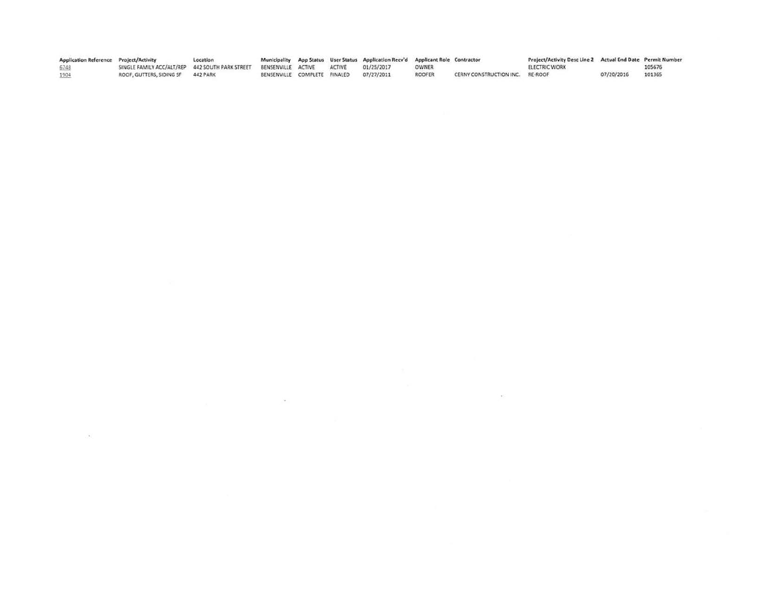| Application Reference Project/Activity |                                                 | Location |                              |        | Municipality App Status User Status Application Recv'd Applicant Role Contractor |               |                                 | Project/Activity Desc Line 2 Actual End Date Permit Number |            |        |
|----------------------------------------|-------------------------------------------------|----------|------------------------------|--------|----------------------------------------------------------------------------------|---------------|---------------------------------|------------------------------------------------------------|------------|--------|
| 6748                                   | SINGLE FAMILY ACC/ALT/REP 442 SOUTH PARK STREET |          | BENSENVILLE ACTIVE           | ACTIVE | 01/25/2017                                                                       | <b>OWNER</b>  |                                 | <b>ELECTRIC WORK</b>                                       |            | 105676 |
| 1904                                   | ROOF, GUTTERS, SIDING SF                        | 442 PARK | BENSENVILLE COMPLETE FINALED |        | 07/27/2011                                                                       | <b>ROOFER</b> | CERNY CONSTRUCTION INC. RE-ROOF |                                                            | 07/20/2016 | 101365 |
|                                        |                                                 |          |                              |        |                                                                                  |               |                                 |                                                            |            |        |

 $\mathbf{x} = \mathbf{y} \in \mathbb{R}^{N_{\mathrm{max}} \times N_{\mathrm{max}} \times N_{\mathrm{max}} \times N_{\mathrm{max}} \times N_{\mathrm{max}} \times N_{\mathrm{max}} \times N_{\mathrm{max}} \times N_{\mathrm{max}} \times N_{\mathrm{max}} \times N_{\mathrm{max}} \times N_{\mathrm{max}} \times N_{\mathrm{max}} \times N_{\mathrm{max}} \times N_{\mathrm{max}} \times N_{\mathrm{max}} \times N_{\mathrm{max}} \times N_{\mathrm{max}} \times N_{\mathrm{max}} \times N_{\mathrm{max}} \times N_{\mathrm{max}} \times N_{\mathrm{max}} \times N_{\mathrm{max}} \times N$ 

 $\mathcal{L}(\mathbf{e}_1)$  . The contract of the contract of the contract of the contract of the contract of the contract of the contract of the contract of the contract of the contract of the contract of the contract of the contra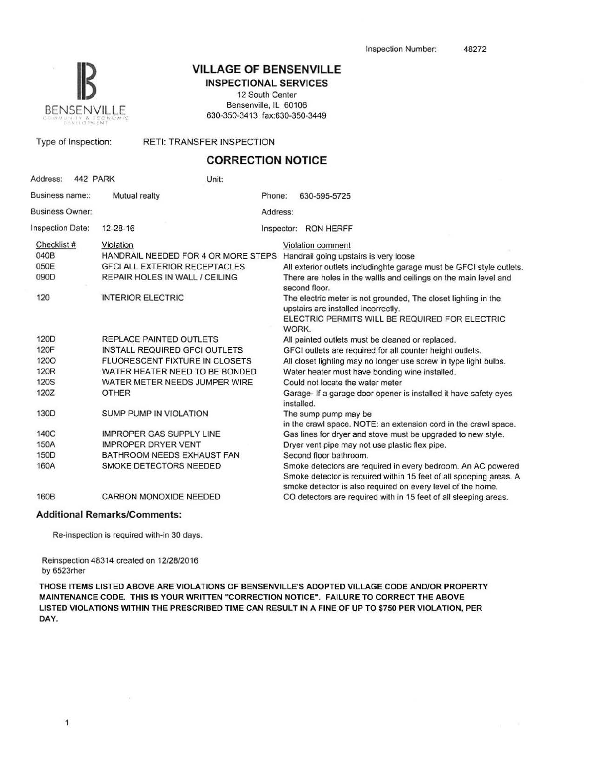

### **VILLAGE OF BENSENVILLE** INSPECTIONAL SERVICES

12 South Center Bensenville, IL 60106 630-350-3413 fax:630-350-3449

Type of Inspection: RETI: TRANSFER INSPECTION

# CORRECTION NOTICE

| Address:<br>442 PARK    |                                       | Unit:    |                                                                                                                                                                                                   |  |  |  |  |
|-------------------------|---------------------------------------|----------|---------------------------------------------------------------------------------------------------------------------------------------------------------------------------------------------------|--|--|--|--|
| Business name::         | Mutual realty                         | Phone:   | 630-595-5725                                                                                                                                                                                      |  |  |  |  |
| <b>Business Owner:</b>  |                                       | Address: |                                                                                                                                                                                                   |  |  |  |  |
| <b>Inspection Date:</b> | 12-28-16                              |          | Inspector: RON HERFF                                                                                                                                                                              |  |  |  |  |
| Checklist #             | Violation                             |          | Violation comment                                                                                                                                                                                 |  |  |  |  |
| 040B                    | HANDRAIL NEEDED FOR 4 OR MORE STEPS   |          | Handrail going upstairs is very loose                                                                                                                                                             |  |  |  |  |
| 050E                    | <b>GFCI ALL EXTERIOR RECEPTACLES</b>  |          | All exterior outlets includinghte garage must be GFCI style outlets.                                                                                                                              |  |  |  |  |
| 090D                    | <b>REPAIR HOLES IN WALL / CEILING</b> |          | There are holes in the wallls and ceilings on the main level and<br>second floor.                                                                                                                 |  |  |  |  |
| 120                     | <b>INTERIOR ELECTRIC</b>              |          | The electric meter is not grounded. The closet lighting in the<br>upstairs are installed incorrectly.                                                                                             |  |  |  |  |
|                         |                                       |          | ELECTRIC PERMITS WILL BE REQUIRED FOR ELECTRIC<br>WORK.                                                                                                                                           |  |  |  |  |
| 120D                    | REPLACE PAINTED OUTLETS               |          | All painted outlets must be cleaned or replaced.                                                                                                                                                  |  |  |  |  |
| 120F                    | <b>INSTALL REQUIRED GFCI OUTLETS</b>  |          | GFCI outlets are required for all counter height outlets.                                                                                                                                         |  |  |  |  |
| 1200                    | FLUORESCENT FIXTURE IN CLOSETS        |          | All closet lighting may no longer use screw in type light bulbs.                                                                                                                                  |  |  |  |  |
| 120 <sub>R</sub>        | WATER HEATER NEED TO BE BONDED        |          | Water heater must have bonding wine installed.                                                                                                                                                    |  |  |  |  |
| <b>120S</b>             | WATER METER NEEDS JUMPER WIRE         |          | Could not locate the water meter                                                                                                                                                                  |  |  |  |  |
| 120Z                    | <b>OTHER</b>                          |          | Garage- If a garage door opener is installed it have safety eyes<br>installed.                                                                                                                    |  |  |  |  |
| 130D                    | <b>SUMP PUMP IN VIOLATION</b>         |          | The sump pump may be<br>in the crawl space. NOTE: an extension cord in the crawl space.                                                                                                           |  |  |  |  |
| 140C                    | <b>IMPROPER GAS SUPPLY LINE</b>       |          | Gas lines for dryer and stove must be upgraded to new style.                                                                                                                                      |  |  |  |  |
| 150A                    | <b>IMPROPER DRYER VENT</b>            |          | Dryer vent pipe may not use plastic flex pipe.                                                                                                                                                    |  |  |  |  |
| 150 <sub>D</sub>        | BATHROOM NEEDS EXHAUST FAN            |          | Second floor bathroom.                                                                                                                                                                            |  |  |  |  |
| 160A                    | SMOKE DETECTORS NEEDED                |          | Smoke detectors are required in every bedroom. An AC powered<br>Smoke detector is required within 15 feet of all speeping areas. A<br>smoke detector is also required on every level of the home. |  |  |  |  |
| 160B                    | CARBON MONOXIDE NEEDED                |          | CO detectors are required with in 15 feet of all sleeping areas.                                                                                                                                  |  |  |  |  |
|                         | Additional DemarkalComments:          |          |                                                                                                                                                                                                   |  |  |  |  |

#### Additional Remarks/Comments:

Re-inspection is required with-in 30 days.

r,

Reinspection 48314 created on 12/28/2016 by 6523rher

THOSE ITEMS LISTED ABOVE ARE VIOLATIONS OF BENSENVILLE'S ADOPTED VILLAGE CODE AND/OR PROPERTY MAINTENANCE CODE. THIS IS YOUR WRITTEN "CORRECTION NOTICE". FAILURE TO CORRECT THE ABOVE LISTED VIOLATIONS WITHIN THE PRESCRIBED TIME CAN RESULT IN A FINE OF UP TO \$750 PER VIOLATION, PER DAY.